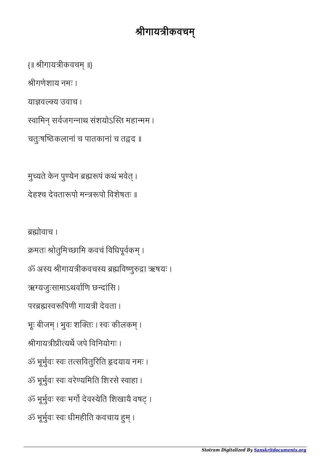ब्रह्मोवाच । क्रमतः श्रोतुमिच्छामि कवचं विधिपूर्वकम् । ॐ अस्य श्रीगायत्रीकवचस्य ब्रह्मविष्णुरुद्रा ऋषयः । ऋग्यजुःसामाऽथर्वाणि छन्दांसि । परब्रह्मस्वरूपिणी गायत्री देवता । भूः बीजम् । भुवः शक्तिः । स्वः कीलकम् । श्रीगायत्रीप्रीत्यर्थे जपे विनियोगः । ॐ भूभुवः वः तसिवतुिरित दयाय नमः । ॐ भूभुवः वः वरेयिमित िशरसे वाहा । ॐ भूर्भुवः स्वः भर्गो देवस्येति शिखायै वषट् । ॐ भूर्भुवः स्वः धीमहीति कवचाय हुम् ।

मुच्यते केन पुण्येन ब्रह्मरूपं कथं भवेत् । देहश्च देवतारूपो मन्त्ररूपो विशेषतः ॥

याज्ञवल्क्य उवाच । रवामिन् सर्वजगन्नाथ संशयोऽस्ति महान्मम । चतुःषष्ठिकलानां च पातकानां च तद्वद ॥

{॥ श्रीगायत्रीकवचम् ॥}

श्रीगणेशाय नमः ।

## श्रीगायत्रीकवचम्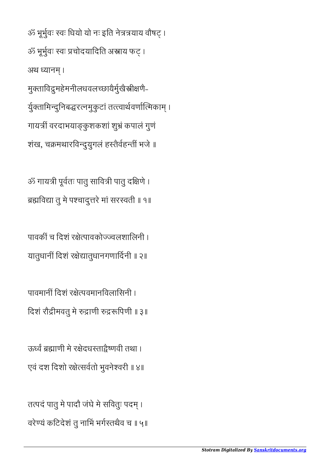ॐ भूर्भुवः स्वः धियो यो नः इति नेत्रत्रयाय वौषट् । ॐ भूर्भुवः स्वः प्रचोदयादिति अस्त्राय फट् । अथ ध्यानम। मुक्ताविद्रमहेमनीलधवलच्छायैर्मुखैस्त्रीक्षणै-र्युक्तामिन्दुनिबद्धरत्नमुकुटां तत्त्त्वार्थवर्णात्मिकाम् । गाय वरदाभयाकु शकशां शुं कपालं गुणं शंख, चक्रमथारविन्दुयुगलं हस्तैर्वहन्तीं भजे ॥

ॐ गायत्री पूर्वतः पातु सावित्री पातु दक्षिणे । ब्रह्मविद्या तु मे पश्चादुत्तरे मां सरस्वती ॥ १॥

पावकीं च दिशं रक्षेत्पावकोज्ज्वलशालिनी । यातुधानीं दिशं रक्षेद्यातुधानगणार्दिनी ॥ २॥

पावमानीं दिशं रक्षेत्पवमानविलासिनी । दिशं रौद्रीमवतु मे रुद्राणी रुद्ररूपिणी ॥ ३॥

ऊर्ध्वं ब्रह्माणी मे रक्षेदधस्ताद्वेष्णवी तथा । एवं दश िदशो रेसवतो भुवनेवरी ॥ ४॥

तत्पदं पातु मे पादौ जंघे मे सवितुः पदम् । वरेण्यं कटिदेशं तु नाभिं भर्गस्तथैव च ॥ ५॥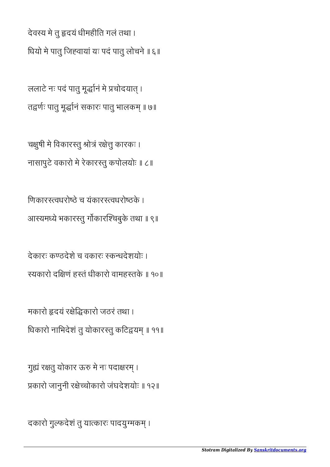दकारो गुल्फदेशं तु यात्कारः पादयुग्मकम् ।

गुह्यं रक्षतु योकार ऊरु मे नः पदाक्षरम् । कारो जानुनी रेचोकारो जंघदेशयोः ॥ १२॥

मकारो हृदयं रक्षेद्धिकारो जठरं तथा। धिकारो नाभिदेशं तु योकारस्तु कटिद्वयम् ॥ ११॥

देकारः कठदेशे च वकारः कधदेशयोः । यकारो दिणं हतं धीकारो वामहतके ॥ १०॥

िणकारवधरोठे च यंकारवधरोठके । आयमये भकारतु गकारचबुके तथा ॥ ९॥

चक्षुषी मे विकारस्तु श्रोत्रं रक्षेत्तु कारकः । नासापुटे वकारो मे रेकारतु कपोलयोः ॥ ८॥

ललाटे नः पदं पातु मूर्द्धानं मे प्रचोदयात् । तद्वर्णः पातु मूर्द्धानं सकारः पातु भालकम् ॥ ७॥

देवय मे तु दयं धीमहीित गलं तथा । िधयो मे पातु िजवायां यः पदं पातु लोचने ॥ ६॥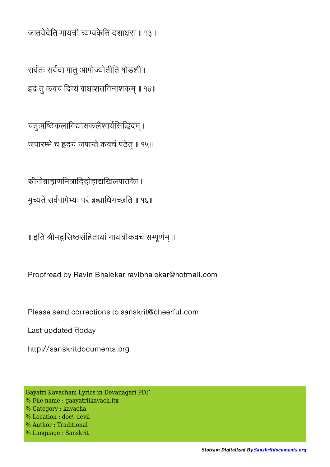जातवेदेति गायत्री त्र्यम्बकेति दशाक्षरा ॥ १३॥

सवतः सवदा पातु आपोयोतीित षोडशी । इदं तु कवचं दिव्यं बाधाशतविनाशकम् ॥ १४॥

चतुःषष्ठिकलाविद्यासकलैश्वर्यसिद्धिदम् । जपारम्भे च हृदयं जपान्ते कवचं पठेत् ॥ १५॥

स्रीगोब्राह्मणमित्रादिद्रोहाद्यखिलपातकैः । मुच्यते सर्वपापेभ्यः परं ब्रह्माधिगच्छति ॥ १६॥

॥ इति श्रीमद्वसिष्ठसंहितायां गायत्रीकवचं सम्पूर्णम् ॥

Proofread by Ravin Bhalekar ravibhalekar@hotmail.com

Please send corrections to sanskrit@cheerful.com

Last updated **doday** 

http://sanskritdocuments.org

Gayatri Kavacham Lyrics in Devanagari PDF % File name : gaayatriikavach.itx % Category : kavacha % Location : doc\\_devii % Author : Traditional % Language : Sanskrit